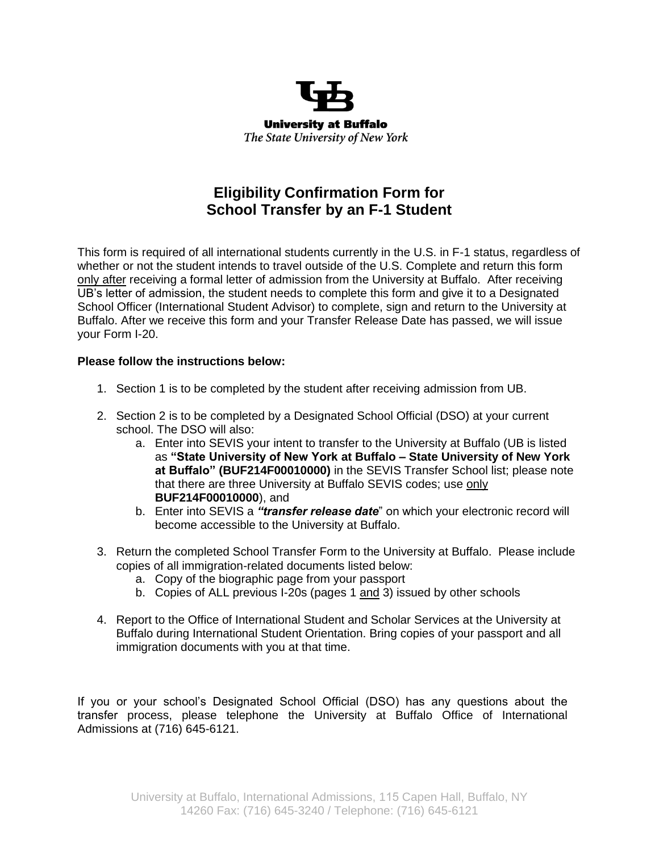

# **Eligibility Confirmation Form for School Transfer by an F-1 Student**

This form is required of all international students currently in the U.S. in F-1 status, regardless of whether or not the student intends to travel outside of the U.S. Complete and return this form only after receiving a formal letter of admission from the University at Buffalo. After receiving UB's letter of admission, the student needs to complete this form and give it to a Designated School Officer (International Student Advisor) to complete, sign and return to the University at Buffalo. After we receive this form and your Transfer Release Date has passed, we will issue your Form I-20.

## **Please follow the instructions below:**

- 1. Section 1 is to be completed by the student after receiving admission from UB.
- 2. Section 2 is to be completed by a Designated School Official (DSO) at your current school. The DSO will also:
	- a. Enter into SEVIS your intent to transfer to the University at Buffalo (UB is listed as **"State University of New York at Buffalo – State University of New York at Buffalo" (BUF214F00010000)** in the SEVIS Transfer School list; please note that there are three University at Buffalo SEVIS codes; use only **BUF214F00010000**), and
	- b. Enter into SEVIS a *"transfer release date*" on which your electronic record will become accessible to the University at Buffalo.
- 3. Return the completed School Transfer Form to the University at Buffalo. Please include copies of all immigration-related documents listed below:
	- a. Copy of the biographic page from your passport
	- b. Copies of ALL previous I-20s (pages 1 and 3) issued by other schools
- 4. Report to the Office of International Student and Scholar Services at the University at Buffalo during International Student Orientation. Bring copies of your passport and all immigration documents with you at that time.

If you or your school's Designated School Official (DSO) has any questions about the transfer process, please telephone the University at Buffalo Office of International Admissions at (716) 645-6121.